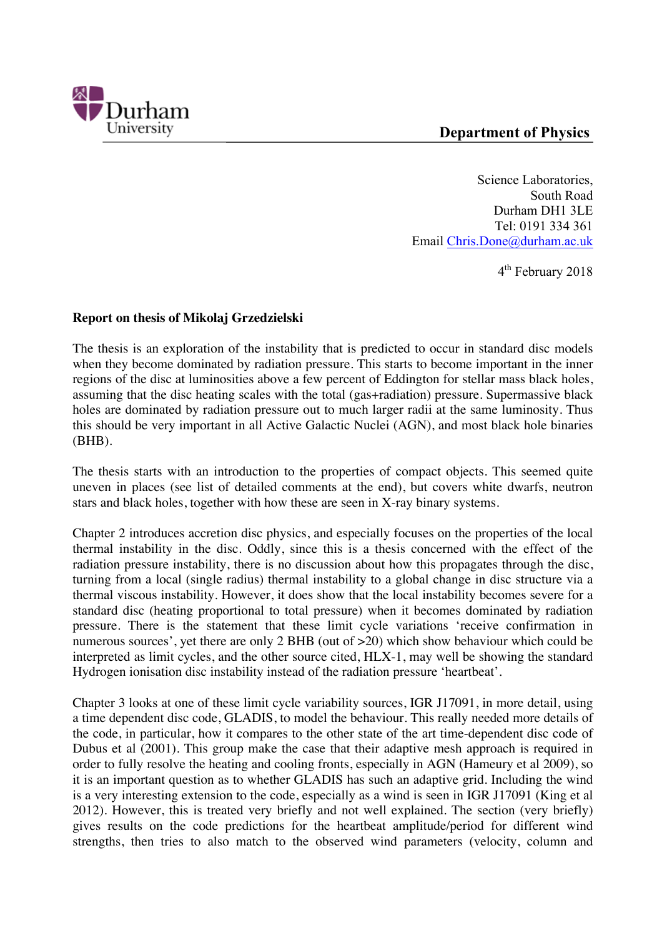

Science Laboratories, South Road Durham DH1 3LE Tel: 0191 334 361 Email Chris.Done@durham.ac.uk

4th February 2018

## **Report on thesis of Mikolaj Grzedzielski**

The thesis is an exploration of the instability that is predicted to occur in standard disc models when they become dominated by radiation pressure. This starts to become important in the inner regions of the disc at luminosities above a few percent of Eddington for stellar mass black holes, assuming that the disc heating scales with the total (gas+radiation) pressure. Supermassive black holes are dominated by radiation pressure out to much larger radii at the same luminosity. Thus this should be very important in all Active Galactic Nuclei (AGN), and most black hole binaries (BHB).

The thesis starts with an introduction to the properties of compact objects. This seemed quite uneven in places (see list of detailed comments at the end), but covers white dwarfs, neutron stars and black holes, together with how these are seen in X-ray binary systems.

Chapter 2 introduces accretion disc physics, and especially focuses on the properties of the local thermal instability in the disc. Oddly, since this is a thesis concerned with the effect of the radiation pressure instability, there is no discussion about how this propagates through the disc, turning from a local (single radius) thermal instability to a global change in disc structure via a thermal viscous instability. However, it does show that the local instability becomes severe for a standard disc (heating proportional to total pressure) when it becomes dominated by radiation pressure. There is the statement that these limit cycle variations 'receive confirmation in numerous sources', yet there are only 2 BHB (out of  $>20$ ) which show behaviour which could be interpreted as limit cycles, and the other source cited, HLX-1, may well be showing the standard Hydrogen ionisation disc instability instead of the radiation pressure 'heartbeat'.

Chapter 3 looks at one of these limit cycle variability sources, IGR J17091, in more detail, using a time dependent disc code, GLADIS, to model the behaviour. This really needed more details of the code, in particular, how it compares to the other state of the art time-dependent disc code of Dubus et al (2001). This group make the case that their adaptive mesh approach is required in order to fully resolve the heating and cooling fronts, especially in AGN (Hameury et al 2009), so it is an important question as to whether GLADIS has such an adaptive grid. Including the wind is a very interesting extension to the code, especially as a wind is seen in IGR J17091 (King et al 2012). However, this is treated very briefly and not well explained. The section (very briefly) gives results on the code predictions for the heartbeat amplitude/period for different wind strengths, then tries to also match to the observed wind parameters (velocity, column and